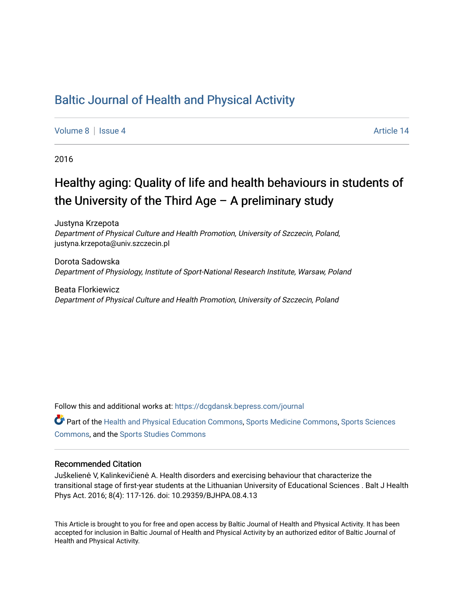## [Baltic Journal of Health and Physical Activity](https://dcgdansk.bepress.com/journal)

[Volume 8](https://dcgdansk.bepress.com/journal/vol8) | [Issue 4](https://dcgdansk.bepress.com/journal/vol8/iss4) Article 14

2016

## Healthy aging: Quality of life and health behaviours in students of the University of the Third Age  $-$  A preliminary study

Justyna Krzepota Department of Physical Culture and Health Promotion, University of Szczecin, Poland, justyna.krzepota@univ.szczecin.pl

Dorota Sadowska Department of Physiology, Institute of Sport-National Research Institute, Warsaw, Poland

Beata Florkiewicz Department of Physical Culture and Health Promotion, University of Szczecin, Poland

Follow this and additional works at: [https://dcgdansk.bepress.com/journal](https://dcgdansk.bepress.com/journal?utm_source=dcgdansk.bepress.com%2Fjournal%2Fvol8%2Fiss4%2F14&utm_medium=PDF&utm_campaign=PDFCoverPages)

Part of the [Health and Physical Education Commons](http://network.bepress.com/hgg/discipline/1327?utm_source=dcgdansk.bepress.com%2Fjournal%2Fvol8%2Fiss4%2F14&utm_medium=PDF&utm_campaign=PDFCoverPages), [Sports Medicine Commons,](http://network.bepress.com/hgg/discipline/1331?utm_source=dcgdansk.bepress.com%2Fjournal%2Fvol8%2Fiss4%2F14&utm_medium=PDF&utm_campaign=PDFCoverPages) [Sports Sciences](http://network.bepress.com/hgg/discipline/759?utm_source=dcgdansk.bepress.com%2Fjournal%2Fvol8%2Fiss4%2F14&utm_medium=PDF&utm_campaign=PDFCoverPages) [Commons](http://network.bepress.com/hgg/discipline/759?utm_source=dcgdansk.bepress.com%2Fjournal%2Fvol8%2Fiss4%2F14&utm_medium=PDF&utm_campaign=PDFCoverPages), and the [Sports Studies Commons](http://network.bepress.com/hgg/discipline/1198?utm_source=dcgdansk.bepress.com%2Fjournal%2Fvol8%2Fiss4%2F14&utm_medium=PDF&utm_campaign=PDFCoverPages) 

#### Recommended Citation

Juškelienė V, Kalinkevičienė A. Health disorders and exercising behaviour that characterize the transitional stage of first-year students at the Lithuanian University of Educational Sciences . Balt J Health Phys Act. 2016; 8(4): 117-126. doi: 10.29359/BJHPA.08.4.13

This Article is brought to you for free and open access by Baltic Journal of Health and Physical Activity. It has been accepted for inclusion in Baltic Journal of Health and Physical Activity by an authorized editor of Baltic Journal of Health and Physical Activity.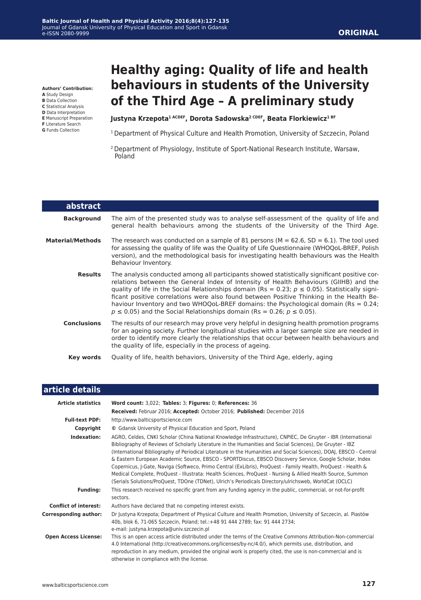**Authors' Contribution:**

- **A** Study Design
- **B** Data Collection **C** Statistical Analysis
- **D** Data Interpretation
- **E** Manuscript Preparation
- **F** Literature Search
- **G** Funds Collection

L

# **Healthy aging: Quality of life and health behaviours in students of the University of the Third Age – A preliminary study**

Justyna Krzepota<sup>1 ACDEF</sup>, Dorota Sadowska<sup>2 CDEF</sup>, Beata Florkiewicz<sup>1 BF</sup>

- <sup>1</sup> Department of Physical Culture and Health Promotion, University of Szczecin, Poland
- 2 Department of Physiology, Institute of Sport-National Research Institute, Warsaw, Poland

| abstract                |                                                                                                                                                                                                                                                                                                                                                                                                                                                                                                                                                                       |  |  |  |  |
|-------------------------|-----------------------------------------------------------------------------------------------------------------------------------------------------------------------------------------------------------------------------------------------------------------------------------------------------------------------------------------------------------------------------------------------------------------------------------------------------------------------------------------------------------------------------------------------------------------------|--|--|--|--|
| <b>Background</b>       | The aim of the presented study was to analyse self-assessment of the quality of life and<br>general health behaviours among the students of the University of the Third Age.                                                                                                                                                                                                                                                                                                                                                                                          |  |  |  |  |
| <b>Material/Methods</b> | The research was conducted on a sample of 81 persons ( $M = 62.6$ , SD = 6.1). The tool used<br>for assessing the quality of life was the Quality of Life Questionnaire (WHOQoL-BREF, Polish<br>version), and the methodological basis for investigating health behaviours was the Health<br>Behaviour Inventory.                                                                                                                                                                                                                                                     |  |  |  |  |
| <b>Results</b>          | The analysis conducted among all participants showed statistically significant positive cor-<br>relations between the General Index of Intensity of Health Behaviours (GIIHB) and the<br>quality of life in the Social Relationships domain (Rs = 0.23; $p \le 0.05$ ). Statistically signi-<br>ficant positive correlations were also found between Positive Thinking in the Health Be-<br>haviour Inventory and two WHOQoL-BREF domains: the Psychological domain ( $Rs = 0.24$ )<br>$p \le 0.05$ ) and the Social Relationships domain (Rs = 0.26; $p \le 0.05$ ). |  |  |  |  |
| <b>Conclusions</b>      | The results of our research may prove very helpful in designing health promotion programs<br>for an ageing society. Further longitudinal studies with a larger sample size are needed in<br>order to identify more clearly the relationships that occur between health behaviours and<br>the quality of life, especially in the process of ageing.                                                                                                                                                                                                                    |  |  |  |  |
| Key words               | Quality of life, health behaviors, University of the Third Age, elderly, aging                                                                                                                                                                                                                                                                                                                                                                                                                                                                                        |  |  |  |  |

| article details              |                                                                                                                                                                                                                                                                                                                                                                                                                                                                                                                                                                                                                                                                                                                                                                                                      |  |  |  |  |
|------------------------------|------------------------------------------------------------------------------------------------------------------------------------------------------------------------------------------------------------------------------------------------------------------------------------------------------------------------------------------------------------------------------------------------------------------------------------------------------------------------------------------------------------------------------------------------------------------------------------------------------------------------------------------------------------------------------------------------------------------------------------------------------------------------------------------------------|--|--|--|--|
| <b>Article statistics</b>    | Word count: 3,022; Tables: 3; Figures: 0; References: 36                                                                                                                                                                                                                                                                                                                                                                                                                                                                                                                                                                                                                                                                                                                                             |  |  |  |  |
|                              | Received: Februar 2016; Accepted: October 2016; Published: December 2016                                                                                                                                                                                                                                                                                                                                                                                                                                                                                                                                                                                                                                                                                                                             |  |  |  |  |
| <b>Full-text PDF:</b>        | http://www.balticsportscience.com                                                                                                                                                                                                                                                                                                                                                                                                                                                                                                                                                                                                                                                                                                                                                                    |  |  |  |  |
| Copyright                    | © Gdansk University of Physical Education and Sport, Poland                                                                                                                                                                                                                                                                                                                                                                                                                                                                                                                                                                                                                                                                                                                                          |  |  |  |  |
| Indexation:                  | AGRO, Celdes, CNKI Scholar (China National Knowledge Infrastructure), CNPIEC, De Gruyter - IBR (International<br>Bibliography of Reviews of Scholarly Literature in the Humanities and Social Sciences), De Gruyter - IBZ<br>(International Bibliography of Periodical Literature in the Humanities and Social Sciences), DOAJ, EBSCO - Central<br>& Eastern European Academic Source, EBSCO - SPORTDiscus, EBSCO Discovery Service, Google Scholar, Index<br>Copernicus, J-Gate, Naviga (Softweco, Primo Central (ExLibris), ProQuest - Family Health, ProQuest - Health &<br>Medical Complete, ProQuest - Illustrata: Health Sciences, ProQuest - Nursing & Allied Health Source, Summon<br>(Serials Solutions/ProQuest, TDOne (TDNet), Ulrich's Periodicals Directory/ulrichsweb, WorldCat (OCLC) |  |  |  |  |
| <b>Funding:</b>              | This research received no specific grant from any funding agency in the public, commercial, or not-for-profit<br>sectors.                                                                                                                                                                                                                                                                                                                                                                                                                                                                                                                                                                                                                                                                            |  |  |  |  |
| <b>Conflict of interest:</b> | Authors have declared that no competing interest exists.                                                                                                                                                                                                                                                                                                                                                                                                                                                                                                                                                                                                                                                                                                                                             |  |  |  |  |
| <b>Corresponding author:</b> | Dr Justyna Krzepota; Department of Physical Culture and Health Promotion, University of Szczecin, al. Piastów<br>40b, blok 6, 71-065 Szczecin, Poland; tel.: +48 91 444 2789; fax: 91 444 2734;<br>e-mail: justyna.krzepota@univ.szczecin.pl                                                                                                                                                                                                                                                                                                                                                                                                                                                                                                                                                         |  |  |  |  |
| <b>Open Access License:</b>  | This is an open access article distributed under the terms of the Creative Commons Attribution-Non-commercial<br>4.0 International (http://creativecommons.org/licenses/by-nc/4.0/), which permits use, distribution, and<br>reproduction in any medium, provided the original work is properly cited, the use is non-commercial and is<br>otherwise in compliance with the license.                                                                                                                                                                                                                                                                                                                                                                                                                 |  |  |  |  |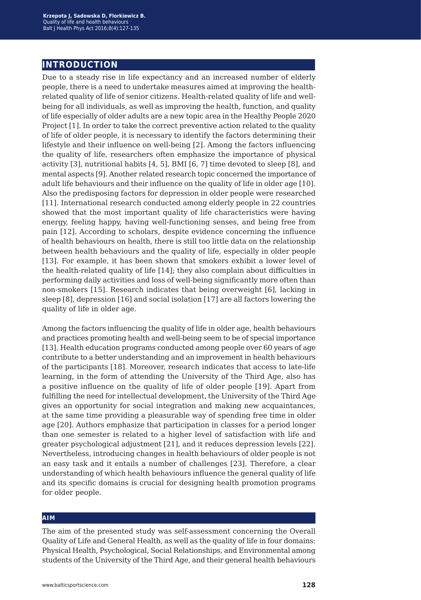### **introduction**

Due to a steady rise in life expectancy and an increased number of elderly people, there is a need to undertake measures aimed at improving the healthrelated quality of life of senior citizens. Health-related quality of life and wellbeing for all individuals, as well as improving the health, function, and quality of life especially of older adults are a new topic area in the Healthy People 2020 Project [1]. In order to take the correct preventive action related to the quality of life of older people, it is necessary to identify the factors determining their lifestyle and their influence on well-being [2]. Among the factors influencing the quality of life, researchers often emphasize the importance of physical activity [3], nutritional habits [4, 5], BMI [6, 7] time devoted to sleep [8], and mental aspects [9]. Another related research topic concerned the importance of adult life behaviours and their influence on the quality of life in older age [10]. Also the predisposing factors for depression in older people were researched [11]. International research conducted among elderly people in 22 countries showed that the most important quality of life characteristics were having energy, feeling happy, having well-functioning senses, and being free from pain [12]. According to scholars, despite evidence concerning the influence of health behaviours on health, there is still too little data on the relationship between health behaviours and the quality of life, especially in older people [13]. For example, it has been shown that smokers exhibit a lower level of the health-related quality of life [14]; they also complain about difficulties in performing daily activities and loss of well-being significantly more often than non-smokers [15]. Research indicates that being overweight [6], lacking in sleep [8], depression [16] and social isolation [17] are all factors lowering the quality of life in older age.

Among the factors influencing the quality of life in older age, health behaviours and practices promoting health and well-being seem to be of special importance [13]. Health education programs conducted among people over 60 years of age contribute to a better understanding and an improvement in health behaviours of the participants [18]. Moreover, research indicates that access to late-life learning, in the form of attending the University of the Third Age, also has a positive influence on the quality of life of older people [19]. Apart from fulfilling the need for intellectual development, the University of the Third Age gives an opportunity for social integration and making new acquaintances, at the same time providing a pleasurable way of spending free time in older age [20]. Authors emphasize that participation in classes for a period longer than one semester is related to a higher level of satisfaction with life and greater psychological adjustment [21], and it reduces depression levels [22]. Nevertheless, introducing changes in health behaviours of older people is not an easy task and it entails a number of challenges [23]. Therefore, a clear understanding of which health behaviours influence the general quality of life and its specific domains is crucial for designing health promotion programs for older people.

#### **aim**

The aim of the presented study was self-assessment concerning the Overall Quality of Life and General Health, as well as the quality of life in four domains: Physical Health, Psychological, Social Relationships, and Environmental among students of the University of the Third Age, and their general health behaviours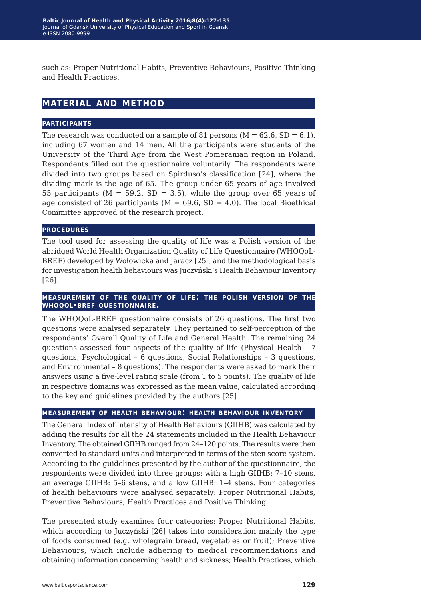such as: Proper Nutritional Habits, Preventive Behaviours, Positive Thinking and Health Practices.

## **material and method**

#### **participants**

The research was conducted on a sample of 81 persons  $(M = 62.6, SD = 6.1)$ , including 67 women and 14 men. All the participants were students of the University of the Third Age from the West Pomeranian region in Poland. Respondents filled out the questionnaire voluntarily. The respondents were divided into two groups based on Spirduso's classification [24], where the dividing mark is the age of 65. The group under 65 years of age involved 55 participants ( $M = 59.2$ ,  $SD = 3.5$ ), while the group over 65 years of age consisted of 26 participants ( $M = 69.6$ , SD = 4.0). The local Bioethical Committee approved of the research project.

#### **procedures**

The tool used for assessing the quality of life was a Polish version of the abridged World Health Organization Quality of Life Questionnaire (WHOQoL-BREF) developed by Wołowicka and Jaracz [25], and the methodological basis for investigation health behaviours was Juczyński's Health Behaviour Inventory [26].

#### **measurement of the quality of life: the polish version of the whoqol-bref questionnaire.**

The WHOQoL-BREF questionnaire consists of 26 questions. The first two questions were analysed separately. They pertained to self-perception of the respondents' Overall Quality of Life and General Health. The remaining 24 questions assessed four aspects of the quality of life (Physical Health – 7 questions, Psychological – 6 questions, Social Relationships – 3 questions, and Environmental – 8 questions). The respondents were asked to mark their answers using a five-level rating scale (from 1 to 5 points). The quality of life in respective domains was expressed as the mean value, calculated according to the key and guidelines provided by the authors [25].

#### **measurement of health behaviour: health behaviour inventory**

The General Index of Intensity of Health Behaviours (GIIHB) was calculated by adding the results for all the 24 statements included in the Health Behaviour Inventory. The obtained GIIHB ranged from 24–120 points. The results were then converted to standard units and interpreted in terms of the sten score system. According to the guidelines presented by the author of the questionnaire, the respondents were divided into three groups: with a high GIIHB: 7–10 stens, an average GIIHB: 5–6 stens, and a low GIIHB: 1–4 stens. Four categories of health behaviours were analysed separately: Proper Nutritional Habits, Preventive Behaviours, Health Practices and Positive Thinking.

The presented study examines four categories: Proper Nutritional Habits, which according to Juczyński [26] takes into consideration mainly the type of foods consumed (e.g. wholegrain bread, vegetables or fruit); Preventive Behaviours, which include adhering to medical recommendations and obtaining information concerning health and sickness; Health Practices, which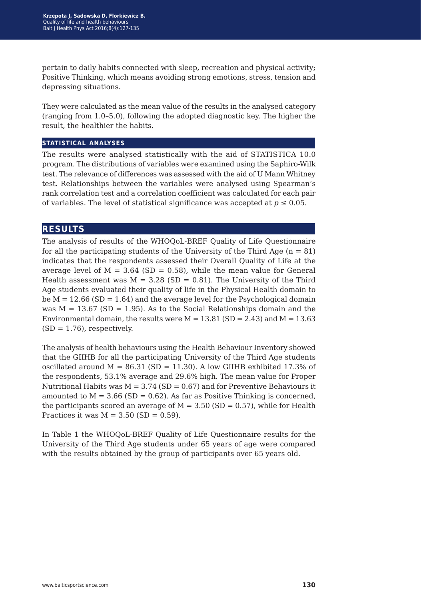pertain to daily habits connected with sleep, recreation and physical activity; Positive Thinking, which means avoiding strong emotions, stress, tension and depressing situations.

They were calculated as the mean value of the results in the analysed category (ranging from 1.0–5.0), following the adopted diagnostic key. The higher the result, the healthier the habits.

#### **statistical analyses**

The results were analysed statistically with the aid of STATISTICA 10.0 program. The distributions of variables were examined using the Saphiro-Wilk test. The relevance of differences was assessed with the aid of U Mann Whitney test. Relationships between the variables were analysed using Spearman's rank correlation test and a correlation coefficient was calculated for each pair of variables. The level of statistical significance was accepted at  $p \le 0.05$ .

#### **results**

The analysis of results of the WHOQoL-BREF Quality of Life Questionnaire for all the participating students of the University of the Third Age  $(n = 81)$ indicates that the respondents assessed their Overall Quality of Life at the average level of  $M = 3.64$  (SD = 0.58), while the mean value for General Health assessment was  $M = 3.28$  (SD = 0.81). The University of the Third Age students evaluated their quality of life in the Physical Health domain to be  $M = 12.66$  (SD = 1.64) and the average level for the Psychological domain was  $M = 13.67$  (SD = 1.95). As to the Social Relationships domain and the Environmental domain, the results were  $M = 13.81$  (SD = 2.43) and  $M = 13.63$  $(SD = 1.76)$ , respectively.

The analysis of health behaviours using the Health Behaviour Inventory showed that the GIIHB for all the participating University of the Third Age students oscillated around  $M = 86.31$  (SD = 11.30). A low GIIHB exhibited 17.3% of the respondents, 53.1% average and 29.6% high. The mean value for Proper Nutritional Habits was  $M = 3.74$  (SD = 0.67) and for Preventive Behaviours it amounted to  $M = 3.66$  (SD = 0.62). As far as Positive Thinking is concerned, the participants scored an average of  $M = 3.50$  (SD = 0.57), while for Health Practices it was  $M = 3.50$  (SD = 0.59).

In Table 1 the WHOQoL-BREF Quality of Life Questionnaire results for the University of the Third Age students under 65 years of age were compared with the results obtained by the group of participants over 65 years old.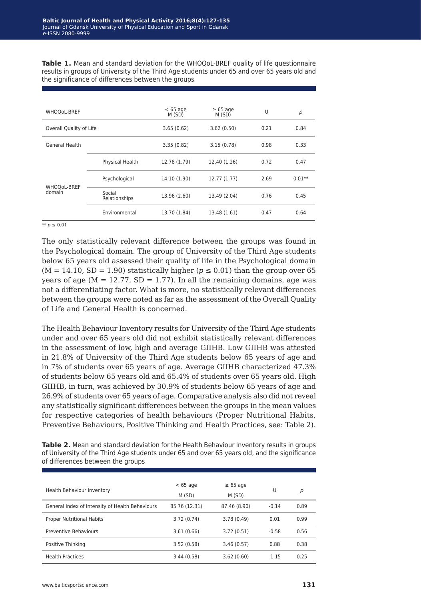**Table 1.** Mean and standard deviation for the WHOQoL-BREF quality of life questionnaire results in groups of University of the Third Age students under 65 and over 65 years old and the significance of differences between the groups

| WHOQoL-BREF             |                         | $< 65$ age<br>M (SD) | $\geq 65$ age<br>M(SD) | U    | p        |
|-------------------------|-------------------------|----------------------|------------------------|------|----------|
| Overall Quality of Life |                         | 3.65(0.62)           | 3.62(0.50)             | 0.21 | 0.84     |
| General Health          |                         | 3.35(0.82)           | 3.15(0.78)             | 0.98 | 0.33     |
| WHOQoL-BREF<br>domain   | Physical Health         | 12.78 (1.79)         | 12.40 (1.26)           | 0.72 | 0.47     |
|                         | Psychological           | 14.10 (1.90)         | 12.77(1.77)            | 2.69 | $0.01**$ |
|                         | Social<br>Relationships | 13.96 (2.60)         | 13.49 (2.04)           | 0.76 | 0.45     |
|                         | Environmental           | 13.70 (1.84)         | 13.48 (1.61)           | 0.47 | 0.64     |

 $*$ *∗ p* ≤ 0.01

The only statistically relevant difference between the groups was found in the Psychological domain. The group of University of the Third Age students below 65 years old assessed their quality of life in the Psychological domain  $(M = 14.10, SD = 1.90)$  statistically higher ( $p \le 0.01$ ) than the group over 65 years of age ( $M = 12.77$ ,  $SD = 1.77$ ). In all the remaining domains, age was not a differentiating factor. What is more, no statistically relevant differences between the groups were noted as far as the assessment of the Overall Quality of Life and General Health is concerned.

The Health Behaviour Inventory results for University of the Third Age students under and over 65 years old did not exhibit statistically relevant differences in the assessment of low, high and average GIIHB. Low GIIHB was attested in 21.8% of University of the Third Age students below 65 years of age and in 7% of students over 65 years of age. Average GIIHB characterized 47.3% of students below 65 years old and 65.4% of students over 65 years old. High GIIHB, in turn, was achieved by 30.9% of students below 65 years of age and 26.9% of students over 65 years of age. Comparative analysis also did not reveal any statistically significant differences between the groups in the mean values for respective categories of health behaviours (Proper Nutritional Habits, Preventive Behaviours, Positive Thinking and Health Practices, see: Table 2).

**Table 2.** Mean and standard deviation for the Health Behaviour Inventory results in groups of University of the Third Age students under 65 and over 65 years old, and the significance of differences between the groups

| <b>Health Behaviour Inventory</b>               | $< 65$ age<br>M (SD) | $\geq 65$ age<br>M (SD) | U       | р    |
|-------------------------------------------------|----------------------|-------------------------|---------|------|
| General Index of Intensity of Health Behaviours | 85.76 (12.31)        | 87.46 (8.90)            | $-0.14$ | 0.89 |
| <b>Proper Nutritional Habits</b>                | 3.72(0.74)           | 3.78(0.49)              | 0.01    | 0.99 |
| Preventive Behaviours                           | 3.61(0.66)           | 3.72(0.51)              | $-0.58$ | 0.56 |
| Positive Thinking                               | 3.52(0.58)           | 3.46(0.57)              | 0.88    | 0.38 |
| <b>Health Practices</b>                         | 3.44(0.58)           | 3.62(0.60)              | $-1.15$ | 0.25 |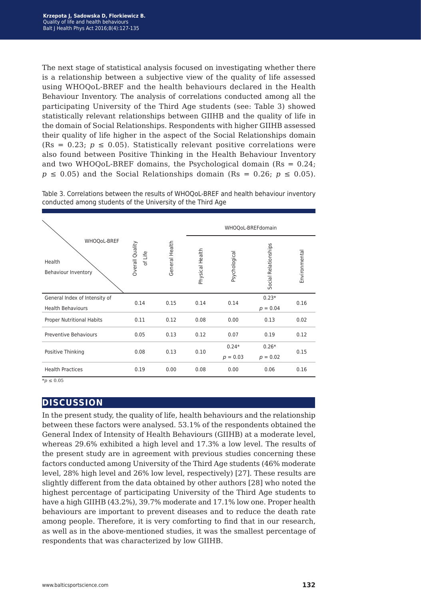The next stage of statistical analysis focused on investigating whether there is a relationship between a subjective view of the quality of life assessed using WHOQoL-BREF and the health behaviours declared in the Health Behaviour Inventory. The analysis of correlations conducted among all the participating University of the Third Age students (see: Table 3) showed statistically relevant relationships between GIIHB and the quality of life in the domain of Social Relationships. Respondents with higher GIIHB assessed their quality of life higher in the aspect of the Social Relationships domain (Rs =  $0.23$ ;  $p \le 0.05$ ). Statistically relevant positive correlations were also found between Positive Thinking in the Health Behaviour Inventory and two WHOQoL-BREF domains, the Psychological domain  $(Rs = 0.24)$ ;  $p \leq 0.05$ ) and the Social Relationships domain (Rs = 0.26;  $p \leq 0.05$ ).

WHOQoL-BREFdomain WHOOoL-BREF Overall Quality Overall Quality General Health General Health Relationships Social Relationships Physical Health Physical Health of Life Environmental Environmental Psychological Psychological Health Behaviour Inventory Social General Index of Intensity of 0.23\* 0.16 0.14 0.15 0.14 0.14 Health Behaviours  $p = 0.04$ Proper Nutritional Habits 0.11 0.12 0.08 0.00 0.13 0.02 Preventive Behaviours 0.05 0.13 0.12 0.07 0.19 0.12 0.24\* 0.26\* Positive Thinking  $0.08$  0.13 0.10 0.15 *p* = 0.03 *p* = 0.02 Health Practices 0.19 0.00 0.08 0.00 0.06 0.16

Table 3. Correlations between the results of WHOQoL-BREF and health behaviour inventory conducted among students of the University of the Third Age

 $**p* ≤ 0.05$ 

### **discussion**

In the present study, the quality of life, health behaviours and the relationship between these factors were analysed. 53.1% of the respondents obtained the General Index of Intensity of Health Behaviours (GIIHB) at a moderate level, whereas 29.6% exhibited a high level and 17.3% a low level. The results of the present study are in agreement with previous studies concerning these factors conducted among University of the Third Age students (46% moderate level, 28% high level and 26% low level, respectively) [27]. These results are slightly different from the data obtained by other authors [28] who noted the highest percentage of participating University of the Third Age students to have a high GIIHB (43.2%), 39.7% moderate and 17.1% low one. Proper health behaviours are important to prevent diseases and to reduce the death rate among people. Therefore, it is very comforting to find that in our research, as well as in the above-mentioned studies, it was the smallest percentage of respondents that was characterized by low GIIHB.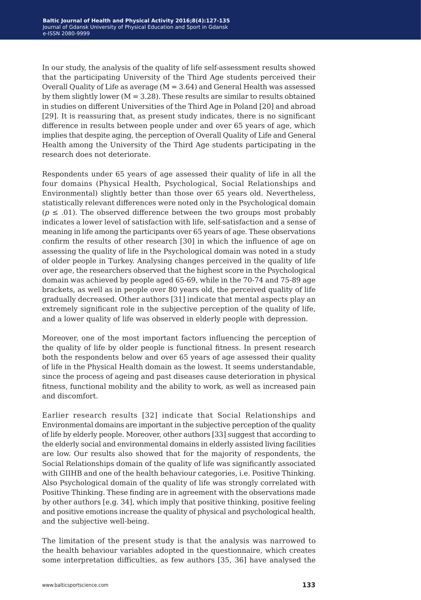In our study, the analysis of the quality of life self-assessment results showed that the participating University of the Third Age students perceived their Overall Quality of Life as average  $(M = 3.64)$  and General Health was assessed by them slightly lower ( $M = 3.28$ ). These results are similar to results obtained in studies on different Universities of the Third Age in Poland [20] and abroad [29]. It is reassuring that, as present study indicates, there is no significant difference in results between people under and over 65 years of age, which implies that despite aging, the perception of Overall Quality of Life and General Health among the University of the Third Age students participating in the research does not deteriorate.

Respondents under 65 years of age assessed their quality of life in all the four domains (Physical Health, Psychological, Social Relationships and Environmental) slightly better than those over 65 years old. Nevertheless, statistically relevant differences were noted only in the Psychological domain  $(p \le .01)$ . The observed difference between the two groups most probably indicates a lower level of satisfaction with life, self-satisfaction and a sense of meaning in life among the participants over 65 years of age. These observations confirm the results of other research [30] in which the influence of age on assessing the quality of life in the Psychological domain was noted in a study of older people in Turkey. Analysing changes perceived in the quality of life over age, the researchers observed that the highest score in the Psychological domain was achieved by people aged 65-69, while in the 70-74 and 75-89 age brackets, as well as in people over 80 years old, the perceived quality of life gradually decreased. Other authors [31] indicate that mental aspects play an extremely significant role in the subjective perception of the quality of life, and a lower quality of life was observed in elderly people with depression.

Moreover, one of the most important factors influencing the perception of the quality of life by older people is functional fitness. In present research both the respondents below and over 65 years of age assessed their quality of life in the Physical Health domain as the lowest. It seems understandable, since the process of ageing and past diseases cause deterioration in physical fitness, functional mobility and the ability to work, as well as increased pain and discomfort.

Earlier research results [32] indicate that Social Relationships and Environmental domains are important in the subjective perception of the quality of life by elderly people. Moreover, other authors [33] suggest that according to the elderly social and environmental domains in elderly assisted living facilities are low. Our results also showed that for the majority of respondents, the Social Relationships domain of the quality of life was significantly associated with GIIHB and one of the health behaviour categories, i.e. Positive Thinking. Also Psychological domain of the quality of life was strongly correlated with Positive Thinking. These finding are in agreement with the observations made by other authors [e.g. 34], which imply that positive thinking, positive feeling and positive emotions increase the quality of physical and psychological health, and the subjective well-being.

The limitation of the present study is that the analysis was narrowed to the health behaviour variables adopted in the questionnaire, which creates some interpretation difficulties, as few authors [35, 36] have analysed the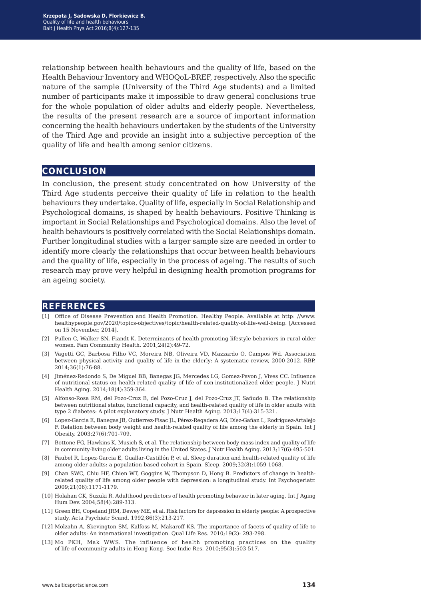relationship between health behaviours and the quality of life, based on the Health Behaviour Inventory and WHOQoL-BREF, respectively. Also the specific nature of the sample (University of the Third Age students) and a limited number of participants make it impossible to draw general conclusions true for the whole population of older adults and elderly people. Nevertheless, the results of the present research are a source of important information concerning the health behaviours undertaken by the students of the University of the Third Age and provide an insight into a subjective perception of the quality of life and health among senior citizens.

#### **conclusion**

In conclusion, the present study concentrated on how University of the Third Age students perceive their quality of life in relation to the health behaviours they undertake. Quality of life, especially in Social Relationship and Psychological domains, is shaped by health behaviours. Positive Thinking is important in Social Relationships and Psychological domains. Also the level of health behaviours is positively correlated with the Social Relationships domain. Further longitudinal studies with a larger sample size are needed in order to identify more clearly the relationships that occur between health behaviours and the quality of life, especially in the process of ageing. The results of such research may prove very helpful in designing health promotion programs for an ageing society.

#### **references**

- [1] Office of Disease Prevention and Health Promotion. Healthy People. Available at http: //www. healthypeople.gov/2020/topics-objectives/topic/health-related-quality-of-life-well-being. [Accessed on 15 November, 2014].
- [2] Pullen C, Walker SN, Fiandt K. Determinants of health-promoting lifestyle behaviors in rural older women. Fam Community Health. 2001;24(2):49-72.
- [3] Vagetti GC, Barbosa Filho VC, Moreira NB, Oliveira VD, Mazzardo O, Campos Wd. Association between physical activity and quality of life in the elderly: A systematic review, 2000-2012. RBP. 2014;36(1):76-88.
- [4] Jiménez-Redondo S, De Miguel BB, Banegas JG, Mercedes LG, Gomez-Pavon J, Vives CC. Influence of nutritional status on health-related quality of life of non-institutionalized older people. J Nutri Health Aging. 2014;18(4):359-364.
- [5] Alfonso-Rosa RM, del Pozo-Cruz B, del Pozo-Cruz J, del Pozo-Cruz JT, Sañudo B. The relationship between nutritional status, functional capacity, and health-related quality of life in older adults with type 2 diabetes: A pilot explanatory study. J Nutr Health Aging. 2013;17(4):315-321.
- [6] Lopez-Garcia E, Banegas JB, Gutierrez-Fisac JL, Pérez-Regadera AG, Díez-Gañan L, Rodriguez-Artalejo F. Relation between body weight and health-related quality of life among the elderly in Spain. Int J Obesity. 2003;27(6):701-709.
- [7] Bottone FG, Hawkins K, Musich S, et al. The relationship between body mass index and quality of life in community-living older adults living in the United States. J Nutr Health Aging. 2013;17(6):495-501.
- [8] Faubel R, Lopez-Garcia E, Guallar-Castillón P, et al. Sleep duration and health-related quality of life among older adults: a population-based cohort in Spain. Sleep. 2009;32(8):1059-1068.
- [9] Chan SWC, Chiu HF, Chien WT, Goggins W, Thompson D, Hong B. Predictors of change in healthrelated quality of life among older people with depression: a longitudinal study. Int Psychogeriatr. 2009;21(06):1171-1179.
- [10] Holahan CK, Suzuki R. Adulthood predictors of health promoting behavior in later aging. Int J Aging Hum Dev. 2004;58(4):289-313.
- [11] Green BH, Copeland JRM, Dewey ME, et al. Risk factors for depression in elderly people: A prospective study. Acta Psychiatr Scand. 1992;86(3):213-217.
- [12] Molzahn A, Skevington SM, Kalfoss M, Makaroff KS. The importance of facets of quality of life to older adults: An international investigation. Qual Life Res. 2010;19(2): 293-298.
- [13] Mo PKH, Mak WWS. The influence of health promoting practices on the quality of life of community adults in Hong Kong. Soc Indic Res. 2010;95(3):503-517.